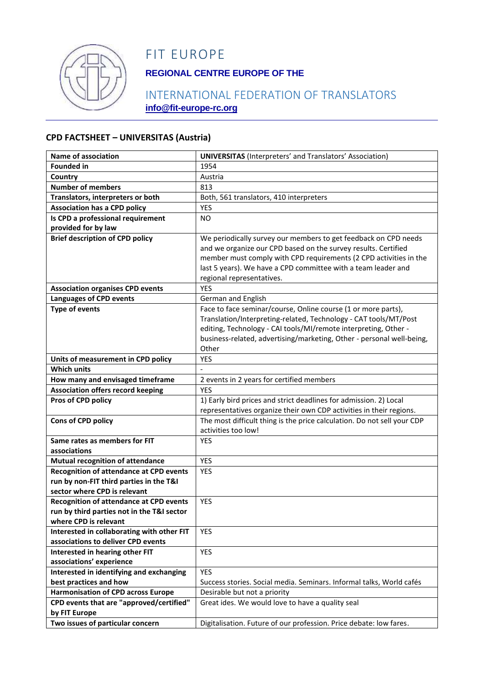

## FIT EUROPE

### **REGIONAL CENTRE EUROPE OF THE**

### INTERNATIONAL FEDERATION OF TRANSLATORS **info@fit-europe-rc.org**

#### **CPD FACTSHEET – UNIVERSITAS (Austria)**

| <b>Name of association</b>                     | <b>UNIVERSITAS (Interpreters' and Translators' Association)</b>         |
|------------------------------------------------|-------------------------------------------------------------------------|
| <b>Founded in</b>                              | 1954                                                                    |
| Country                                        | Austria                                                                 |
| <b>Number of members</b>                       | 813                                                                     |
| Translators, interpreters or both              | Both, 561 translators, 410 interpreters                                 |
| <b>Association has a CPD policy</b>            | <b>YES</b>                                                              |
| Is CPD a professional requirement              | NO.                                                                     |
| provided for by law                            |                                                                         |
| <b>Brief description of CPD policy</b>         | We periodically survey our members to get feedback on CPD needs         |
|                                                | and we organize our CPD based on the survey results. Certified          |
|                                                | member must comply with CPD requirements (2 CPD activities in the       |
|                                                | last 5 years). We have a CPD committee with a team leader and           |
|                                                | regional representatives.                                               |
| <b>Association organises CPD events</b>        | <b>YES</b>                                                              |
| <b>Languages of CPD events</b>                 | German and English                                                      |
| <b>Type of events</b>                          | Face to face seminar/course, Online course (1 or more parts),           |
|                                                | Translation/Interpreting-related, Technology - CAT tools/MT/Post        |
|                                                | editing, Technology - CAI tools/MI/remote interpreting, Other -         |
|                                                | business-related, advertising/marketing, Other - personal well-being,   |
|                                                | Other                                                                   |
| Units of measurement in CPD policy             | <b>YES</b>                                                              |
| <b>Which units</b>                             |                                                                         |
| How many and envisaged timeframe               | 2 events in 2 years for certified members                               |
| <b>Association offers record keeping</b>       | <b>YES</b>                                                              |
| Pros of CPD policy                             | 1) Early bird prices and strict deadlines for admission. 2) Local       |
|                                                | representatives organize their own CDP activities in their regions.     |
| Cons of CPD policy                             | The most difficult thing is the price calculation. Do not sell your CDP |
|                                                | activities too low!                                                     |
| Same rates as members for FIT                  | <b>YES</b>                                                              |
| associations                                   |                                                                         |
| <b>Mutual recognition of attendance</b>        | <b>YES</b>                                                              |
| <b>Recognition of attendance at CPD events</b> | <b>YES</b>                                                              |
| run by non-FIT third parties in the T&I        |                                                                         |
| sector where CPD is relevant                   |                                                                         |
| <b>Recognition of attendance at CPD events</b> | <b>YES</b>                                                              |
| run by third parties not in the T&I sector     |                                                                         |
| where CPD is relevant                          |                                                                         |
| Interested in collaborating with other FIT     | <b>YES</b>                                                              |
| associations to deliver CPD events             |                                                                         |
| Interested in hearing other FIT                | YES                                                                     |
| associations' experience                       |                                                                         |
| Interested in identifying and exchanging       | <b>YES</b>                                                              |
| best practices and how                         | Success stories. Social media. Seminars. Informal talks, World cafés    |
| <b>Harmonisation of CPD across Europe</b>      | Desirable but not a priority                                            |
| CPD events that are "approved/certified"       | Great ides. We would love to have a quality seal                        |
| by FIT Europe                                  |                                                                         |
| Two issues of particular concern               | Digitalisation. Future of our profession. Price debate: low fares.      |